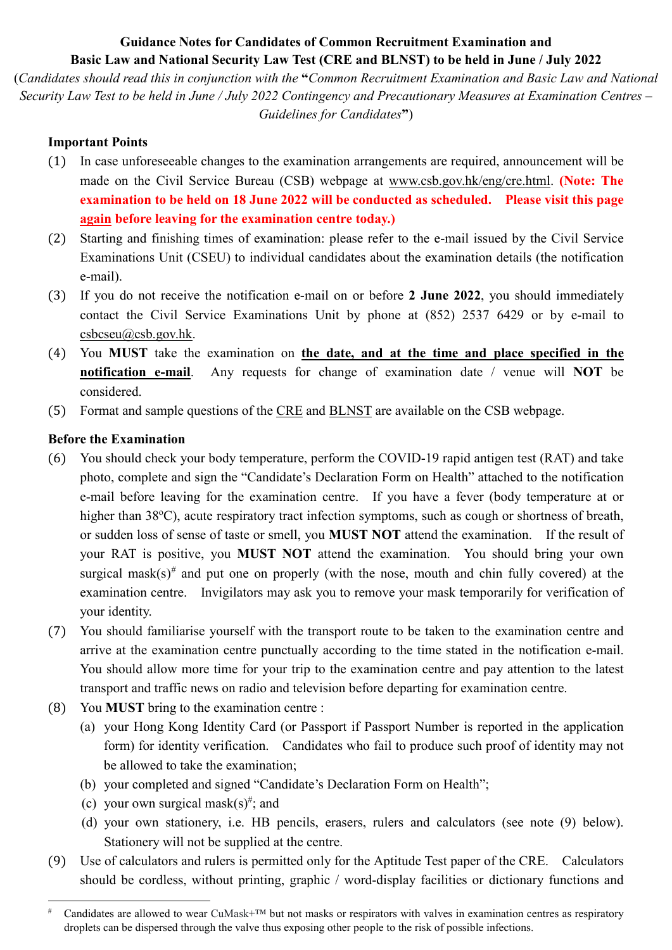# **Guidance Notes for Candidates of Common Recruitment Examination and Basic Law and National Security Law Test (CRE and BLNST) to be held in June / July 2022**

(*Candidates should read this in conjunction with the* **"***Common Recruitment Examination and Basic Law and National Security Law Test to be held in June / July 2022 Contingency and Precautionary Measures at Examination Centres – Guidelines for Candidates***"**)

## **Important Points**

- (1) In case unforeseeable changes to the examination arrangements are required, announcement will be made on the Civil Service Bureau (CSB) webpage at [www.csb.gov.hk/eng/cre.html.](http://www.csb.gov.hk/eng/cre.html) **(Note: The examination to be held on 18 June 2022 will be conducted as scheduled. Please visit this page again before leaving for the examination centre today.)**
- (2) Starting and finishing times of examination: please refer to the e-mail issued by the Civil Service Examinations Unit (CSEU) to individual candidates about the examination details (the notification e-mail).
- (3) If you do not receive the notification e-mail on or before **2 June 2022**, you should immediately contact the Civil Service Examinations Unit by phone at (852) 2537 6429 or by e-mail to [csbcseu@csb.gov.hk.](mailto:csbcseu@csb.gov.hk)
- (4) You **MUST** take the examination on **the date, and at the time and place specified in the notification e-mail**. Any requests for change of examination date / venue will **NOT** be considered.
- (5) [Format](http://www.csb.gov.hk/english/recruit/cre/954.html) and [sample questions](http://www.csb.gov.hk/english/recruit/cre/947.html) of the [CRE](http://www.csb.gov.hk/english/recruit/cre/949.html#format) and [BLNST](http://www.csb.gov.hk/english/recruit/cre/949.html#format) are available on the CSB webpage.

# **Before the Examination**

- (6) You should check your body temperature, perform the COVID-19 rapid antigen test (RAT) and take photo, complete and sign the "Candidate's Declaration Form on Health" attached to the notification e-mail before leaving for the examination centre. If you have a fever (body temperature at or higher than 38°C), acute respiratory tract infection symptoms, such as cough or shortness of breath, or sudden loss of sense of taste or smell, you **MUST NOT** attend the examination. If the result of your RAT is positive, you **MUST NOT** attend the examination. You should bring your own surgical mask(s)<sup>[#](#page-0-0)</sup> and put one on properly (with the nose, mouth and chin fully covered) at the examination centre. Invigilators may ask you to remove your mask temporarily for verification of your identity.
- (7) You should familiarise yourself with the transport route to be taken to the examination centre and arrive at the examination centre punctually according to the time stated in the notification e-mail. You should allow more time for your trip to the examination centre and pay attention to the latest transport and traffic news on radio and television before departing for examination centre.
- (8) You **MUST** bring to the examination centre :
	- (a) your Hong Kong Identity Card (or Passport if Passport Number is reported in the application form) for identity verification. Candidates who fail to produce such proof of identity may not be allowed to take the examination;
	- (b) your completed and signed "Candidate's Declaration Form on Health";
	- (c) your own surgical mask(s)<sup>#</sup>; and
	- (d) your own stationery, i.e. HB pencils, erasers, rulers and calculators (see note (9) below). Stationery will not be supplied at the centre.
- (9) Use of calculators and rulers is permitted only for the Aptitude Test paper of the CRE. Calculators should be cordless, without printing, graphic / word-display facilities or dictionary functions and

<span id="page-0-0"></span>Candidates are allowed to wear CuMask+ $TM$  but not masks or respirators with valves in examination centres as respiratory droplets can be dispersed through the valve thus exposing other people to the risk of possible infections.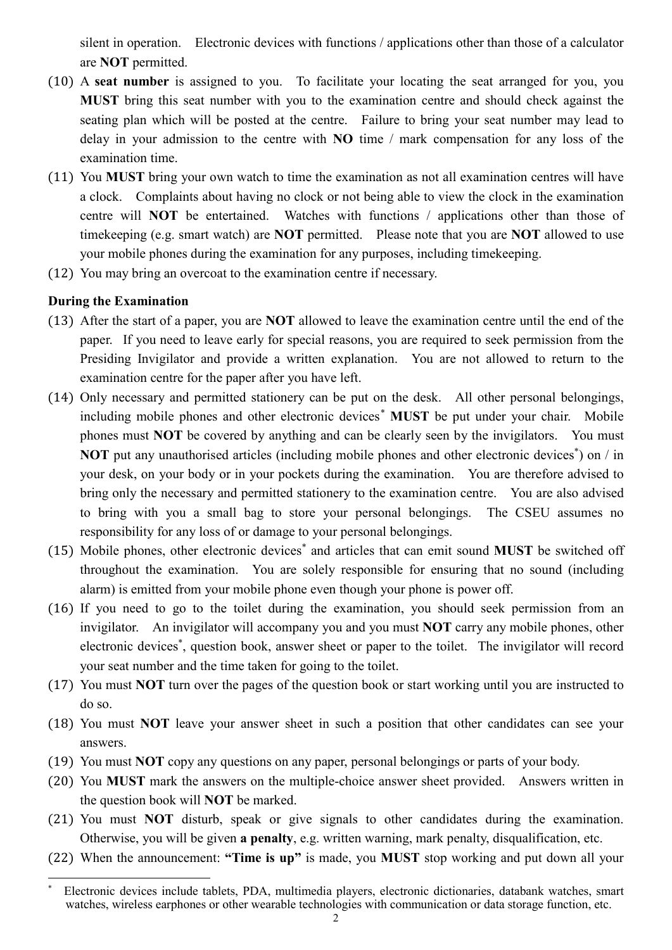silent in operation. Electronic devices with functions / applications other than those of a calculator are **NOT** permitted.

- (10) A **seat number** is assigned to you. To facilitate your locating the seat arranged for you, you **MUST** bring this seat number with you to the examination centre and should check against the seating plan which will be posted at the centre. Failure to bring your seat number may lead to delay in your admission to the centre with **NO** time / mark compensation for any loss of the examination time.
- (11) You **MUST** bring your own watch to time the examination as not all examination centres will have a clock. Complaints about having no clock or not being able to view the clock in the examination centre will **NOT** be entertained. Watches with functions / applications other than those of timekeeping (e.g. smart watch) are **NOT** permitted. Please note that you are **NOT** allowed to use your mobile phones during the examination for any purposes, including timekeeping.
- (12) You may bring an overcoat to the examination centre if necessary.

## **During the Examination**

- (13) After the start of a paper, you are **NOT** allowed to leave the examination centre until the end of the paper. If you need to leave early for special reasons, you are required to seek permission from the Presiding Invigilator and provide a written explanation. You are not allowed to return to the examination centre for the paper after you have left.
- (14) Only necessary and permitted stationery can be put on the desk. All other personal belongings, including mobile phones and other electronic devices[\\*](#page-1-0) **MUST** be put under your chair. Mobile phones must **NOT** be covered by anything and can be clearly seen by the invigilators. You must NOT put any unauthorised articles (including mobile phones and other electronic devices<sup>\*</sup>) on / in your desk, on your body or in your pockets during the examination. You are therefore advised to bring only the necessary and permitted stationery to the examination centre. You are also advised to bring with you a small bag to store your personal belongings. The CSEU assumes no responsibility for any loss of or damage to your personal belongings.
- (15) Mobile phones, other electronic devices\* and articles that can emit sound **MUST** be switched off throughout the examination. You are solely responsible for ensuring that no sound (including alarm) is emitted from your mobile phone even though your phone is power off.
- (16) If you need to go to the toilet during the examination, you should seek permission from an invigilator. An invigilator will accompany you and you must **NOT** carry any mobile phones, other electronic devices\* , question book, answer sheet or paper to the toilet. The invigilator will record your seat number and the time taken for going to the toilet.
- (17) You must **NOT** turn over the pages of the question book or start working until you are instructed to do so.
- (18) You must **NOT** leave your answer sheet in such a position that other candidates can see your answers.
- (19) You must **NOT** copy any questions on any paper, personal belongings or parts of your body.
- (20) You **MUST** mark the answers on the multiple-choice answer sheet provided. Answers written in the question book will **NOT** be marked.
- (21) You must **NOT** disturb, speak or give signals to other candidates during the examination. Otherwise, you will be given **a penalty**, e.g. written warning, mark penalty, disqualification, etc.
- (22) When the announcement: **"Time is up"** is made, you **MUST** stop working and put down all your

<span id="page-1-0"></span>\* Electronic devices include tablets, PDA, multimedia players, electronic dictionaries, databank watches, smart watches, wireless earphones or other wearable technologies with communication or data storage function, etc.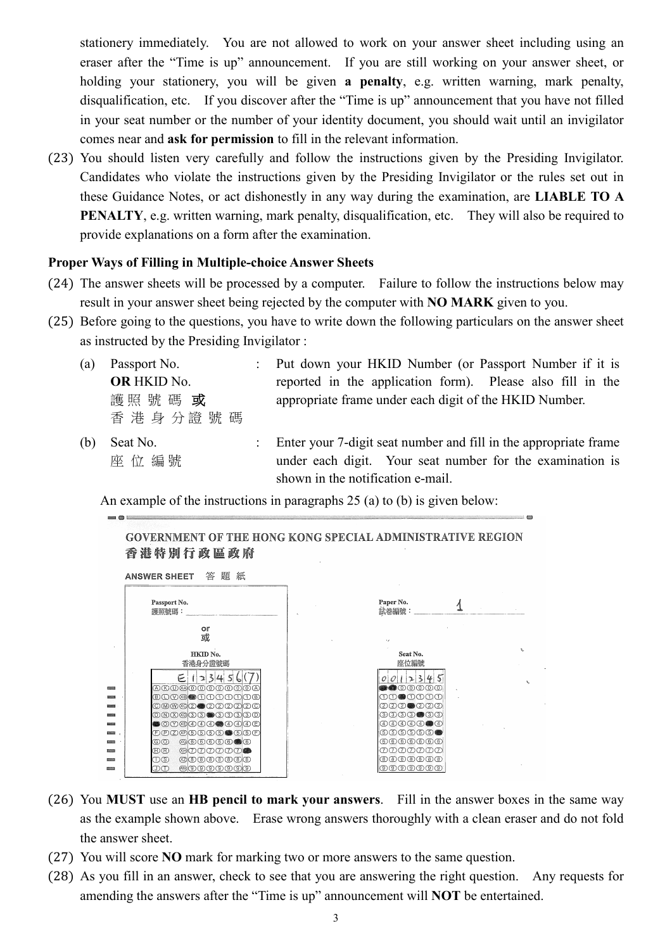stationery immediately. You are not allowed to work on your answer sheet including using an eraser after the "Time is up" announcement. If you are still working on your answer sheet, or holding your stationery, you will be given **a penalty**, e.g. written warning, mark penalty, disqualification, etc. If you discover after the "Time is up" announcement that you have not filled in your seat number or the number of your identity document, you should wait until an invigilator comes near and **ask for permission** to fill in the relevant information.

(23) You should listen very carefully and follow the instructions given by the Presiding Invigilator. Candidates who violate the instructions given by the Presiding Invigilator or the rules set out in these Guidance Notes, or act dishonestly in any way during the examination, are **LIABLE TO A PENALTY**, e.g. written warning, mark penalty, disqualification, etc. They will also be required to provide explanations on a form after the examination.

#### **Proper Ways of Filling in Multiple-choice Answer Sheets**

- (24) The answer sheets will be processed by a computer. Failure to follow the instructions below may result in your answer sheet being rejected by the computer with **NO MARK** given to you.
- (25) Before going to the questions, you have to write down the following particulars on the answer sheet as instructed by the Presiding Invigilator :
	- (a) Passport No. **OR** HKID No. 護照號碼 或 香 港 身 分 證 號 碼
	- (b) Seat No. 座 位 編 號

: Put down your HKID Number (or Passport Number if it is reported in the application form). Please also fill in the appropriate frame under each digit of the HKID Number.

: Enter your 7-digit seat number and fill in the appropriate frame under each digit. Your seat number for the examination is shown in the notification e-mail.

An example of the instructions in paragraphs 25 (a) to (b) is given below:

**GOVERNMENT OF THE HONG KONG SPECIAL ADMINISTRATIVE REGION** 香港特別行政區政府 ANSWER SHEET 答題紙 Paner No Passport No.  $\overline{1}$ 護照號碼: 試卷編號:  $\alpha r$ 或  $HKID$   $No$ Seat No. 香港身分證號碼 座位編號  $E123456(7)$  $0012345$  $\bullet\bullet\circ\circ\circ\circ\circ$ ×, **BOO®OOOOOOO**  $\begin{picture}(150,10) \put(0,0){\line(1,0){10}} \put(15,0){\line(1,0){10}} \put(15,0){\line(1,0){10}} \put(15,0){\line(1,0){10}} \put(15,0){\line(1,0){10}} \put(15,0){\line(1,0){10}} \put(15,0){\line(1,0){10}} \put(15,0){\line(1,0){10}} \put(15,0){\line(1,0){10}} \put(15,0){\line(1,0){10}} \put(15,0){\line(1,0){10}} \put(15,0){\line($ 000000000000  $(2)(2)(2)$   $(2)(2)(2)(2)$ 000000000000 രായായായ OOOGOOGOOGOO  $\overline{P(A)}$  $\overline{P(A)}$  $\overline{P(A)}$  $\overline{P(A)}$  $\circledcirc\circ\circ\circ\bullet$ **COOOOOOO**  $@000000$ രത **Introde**  $\circledR$ 0000000  $(B)$  $(B)$  $\circledR$ 000000 തതത്തതത്ത a. **DS CONT**  $CD(T)$ **@**©©©©©© ത്രതത്തത്ത

- (26) You **MUST** use an **HB pencil to mark your answers**. Fill in the answer boxes in the same way as the example shown above. Erase wrong answers thoroughly with a clean eraser and do not fold the answer sheet.
- (27) You will score **NO** mark for marking two or more answers to the same question.
- (28) As you fill in an answer, check to see that you are answering the right question. Any requests for amending the answers after the "Time is up" announcement will **NOT** be entertained.